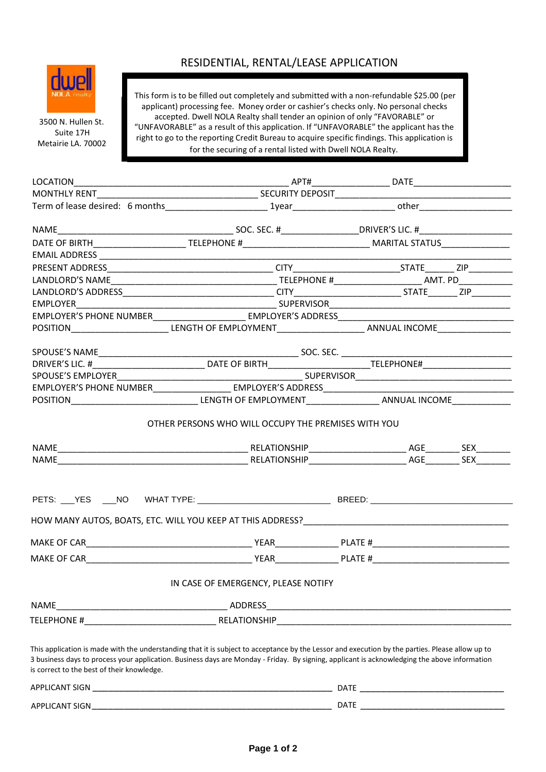

 3500 N. Hullen St. Suite 17H Metairie LA. 70002

## RESIDENTIAL, RENTAL/LEASE APPLICATION

This form is to be filled out completely and submitted with a non-refundable \$25.00 (per applicant) processing fee. Money order or cashier's checks only. No personal checks accepted. Dwell NOLA Realty shall tender an opinion of only "FAVORABLE" or "UNFAVORABLE" as a result of this application. If "UNFAVORABLE" the applicant has the right to go to the reporting Credit Bureau to acquire specific findings. This application is for the securing of a rental listed with Dwell NOLA Realty.

|                                                                                                                                                                                                                                                                                                                                               | IN CASE OF EMERGENCY, PLEASE NOTIFY |  |  |  |
|-----------------------------------------------------------------------------------------------------------------------------------------------------------------------------------------------------------------------------------------------------------------------------------------------------------------------------------------------|-------------------------------------|--|--|--|
| NAME                                                                                                                                                                                                                                                                                                                                          |                                     |  |  |  |
|                                                                                                                                                                                                                                                                                                                                               |                                     |  |  |  |
| This application is made with the understanding that it is subject to acceptance by the Lessor and execution by the parties. Please allow up to<br>3 business days to process your application. Business days are Monday - Friday. By signing, applicant is acknowledging the above information<br>is correct to the best of their knowledge. |                                     |  |  |  |
|                                                                                                                                                                                                                                                                                                                                               |                                     |  |  |  |

**Page 1 of 2**